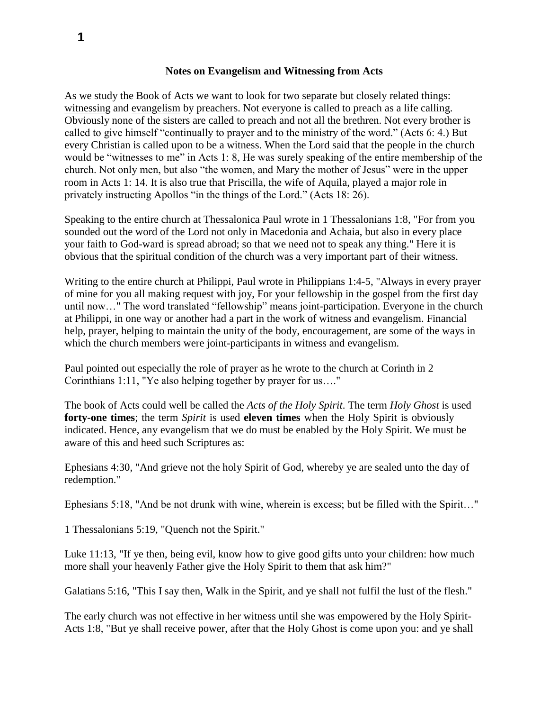#### **Notes on Evangelism and Witnessing from Acts**

As we study the Book of Acts we want to look for two separate but closely related things: witnessing and evangelism by preachers. Not everyone is called to preach as a life calling. Obviously none of the sisters are called to preach and not all the brethren. Not every brother is called to give himself "continually to prayer and to the ministry of the word." (Acts 6: 4.) But every Christian is called upon to be a witness. When the Lord said that the people in the church would be "witnesses to me" in Acts 1: 8, He was surely speaking of the entire membership of the church. Not only men, but also "the women, and Mary the mother of Jesus" were in the upper room in Acts 1: 14. It is also true that Priscilla, the wife of Aquila, played a major role in privately instructing Apollos "in the things of the Lord." (Acts 18: 26).

Speaking to the entire church at Thessalonica Paul wrote in 1 Thessalonians 1:8, "For from you sounded out the word of the Lord not only in Macedonia and Achaia, but also in every place your faith to God-ward is spread abroad; so that we need not to speak any thing." Here it is obvious that the spiritual condition of the church was a very important part of their witness.

Writing to the entire church at Philippi, Paul wrote in Philippians 1:4-5, "Always in every prayer of mine for you all making request with joy, For your fellowship in the gospel from the first day until now…" The word translated "fellowship" means joint-participation. Everyone in the church at Philippi, in one way or another had a part in the work of witness and evangelism. Financial help, prayer, helping to maintain the unity of the body, encouragement, are some of the ways in which the church members were joint-participants in witness and evangelism.

Paul pointed out especially the role of prayer as he wrote to the church at Corinth in 2 Corinthians 1:11, "Ye also helping together by prayer for us…."

The book of Acts could well be called the *Acts of the Holy Spirit*. The term *Holy Ghost* is used **forty-one times**; the term *Spirit* is used **eleven times** when the Holy Spirit is obviously indicated. Hence, any evangelism that we do must be enabled by the Holy Spirit. We must be aware of this and heed such Scriptures as:

Ephesians 4:30, "And grieve not the holy Spirit of God, whereby ye are sealed unto the day of redemption."

Ephesians 5:18, "And be not drunk with wine, wherein is excess; but be filled with the Spirit…"

1 Thessalonians 5:19, "Quench not the Spirit."

Luke 11:13, "If ye then, being evil, know how to give good gifts unto your children: how much more shall your heavenly Father give the Holy Spirit to them that ask him?"

Galatians 5:16, "This I say then, Walk in the Spirit, and ye shall not fulfil the lust of the flesh."

The early church was not effective in her witness until she was empowered by the Holy Spirit-Acts 1:8, "But ye shall receive power, after that the Holy Ghost is come upon you: and ye shall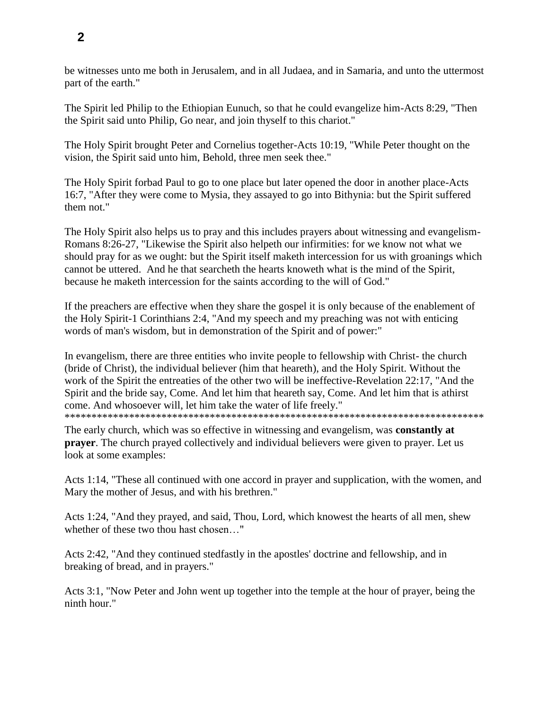be witnesses unto me both in Jerusalem, and in all Judaea, and in Samaria, and unto the uttermost part of the earth."

The Spirit led Philip to the Ethiopian Eunuch, so that he could evangelize him-Acts 8:29, "Then the Spirit said unto Philip, Go near, and join thyself to this chariot."

The Holy Spirit brought Peter and Cornelius together-Acts 10:19, "While Peter thought on the vision, the Spirit said unto him, Behold, three men seek thee."

The Holy Spirit forbad Paul to go to one place but later opened the door in another place-Acts 16:7, "After they were come to Mysia, they assayed to go into Bithynia: but the Spirit suffered them not."

The Holy Spirit also helps us to pray and this includes prayers about witnessing and evangelism-Romans 8:26-27, "Likewise the Spirit also helpeth our infirmities: for we know not what we should pray for as we ought: but the Spirit itself maketh intercession for us with groanings which cannot be uttered. And he that searcheth the hearts knoweth what is the mind of the Spirit, because he maketh intercession for the saints according to the will of God."

If the preachers are effective when they share the gospel it is only because of the enablement of the Holy Spirit-1 Corinthians 2:4, "And my speech and my preaching was not with enticing words of man's wisdom, but in demonstration of the Spirit and of power:"

In evangelism, there are three entities who invite people to fellowship with Christ- the church (bride of Christ), the individual believer (him that heareth), and the Holy Spirit. Without the work of the Spirit the entreaties of the other two will be ineffective-Revelation 22:17, "And the Spirit and the bride say, Come. And let him that heareth say, Come. And let him that is athirst come. And whosoever will, let him take the water of life freely."

\*\*\*\*\*\*\*\*\*\*\*\*\*\*\*\*\*\*\*\*\*\*\*\*\*\*\*\*\*\*\*\*\*\*\*\*\*\*\*\*\*\*\*\*\*\*\*\*\*\*\*\*\*\*\*\*\*\*\*\*\*\*\*\*\*\*\*\*\*\*\*\*\*\*\*\*\*\*

The early church, which was so effective in witnessing and evangelism, was **constantly at prayer**. The church prayed collectively and individual believers were given to prayer. Let us look at some examples:

Acts 1:14, "These all continued with one accord in prayer and supplication, with the women, and Mary the mother of Jesus, and with his brethren."

Acts 1:24, "And they prayed, and said, Thou, Lord, which knowest the hearts of all men, shew whether of these two thou hast chosen…"

Acts 2:42, "And they continued stedfastly in the apostles' doctrine and fellowship, and in breaking of bread, and in prayers."

Acts 3:1, "Now Peter and John went up together into the temple at the hour of prayer, being the ninth hour."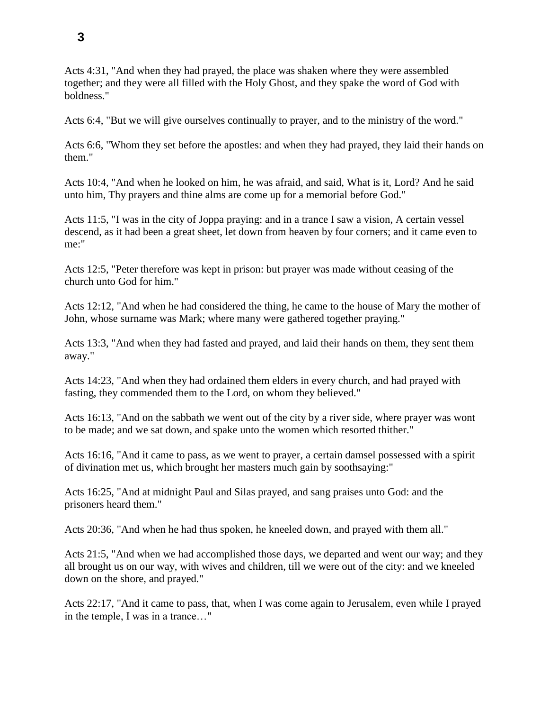Acts 4:31, "And when they had prayed, the place was shaken where they were assembled together; and they were all filled with the Holy Ghost, and they spake the word of God with boldness."

Acts 6:4, "But we will give ourselves continually to prayer, and to the ministry of the word."

Acts 6:6, "Whom they set before the apostles: and when they had prayed, they laid their hands on them."

Acts 10:4, "And when he looked on him, he was afraid, and said, What is it, Lord? And he said unto him, Thy prayers and thine alms are come up for a memorial before God."

Acts 11:5, "I was in the city of Joppa praying: and in a trance I saw a vision, A certain vessel descend, as it had been a great sheet, let down from heaven by four corners; and it came even to me:"

Acts 12:5, "Peter therefore was kept in prison: but prayer was made without ceasing of the church unto God for him."

Acts 12:12, "And when he had considered the thing, he came to the house of Mary the mother of John, whose surname was Mark; where many were gathered together praying."

Acts 13:3, "And when they had fasted and prayed, and laid their hands on them, they sent them away."

Acts 14:23, "And when they had ordained them elders in every church, and had prayed with fasting, they commended them to the Lord, on whom they believed."

Acts 16:13, "And on the sabbath we went out of the city by a river side, where prayer was wont to be made; and we sat down, and spake unto the women which resorted thither."

Acts 16:16, "And it came to pass, as we went to prayer, a certain damsel possessed with a spirit of divination met us, which brought her masters much gain by soothsaying:"

Acts 16:25, "And at midnight Paul and Silas prayed, and sang praises unto God: and the prisoners heard them."

Acts 20:36, "And when he had thus spoken, he kneeled down, and prayed with them all."

Acts 21:5, "And when we had accomplished those days, we departed and went our way; and they all brought us on our way, with wives and children, till we were out of the city: and we kneeled down on the shore, and prayed."

Acts 22:17, "And it came to pass, that, when I was come again to Jerusalem, even while I prayed in the temple, I was in a trance…"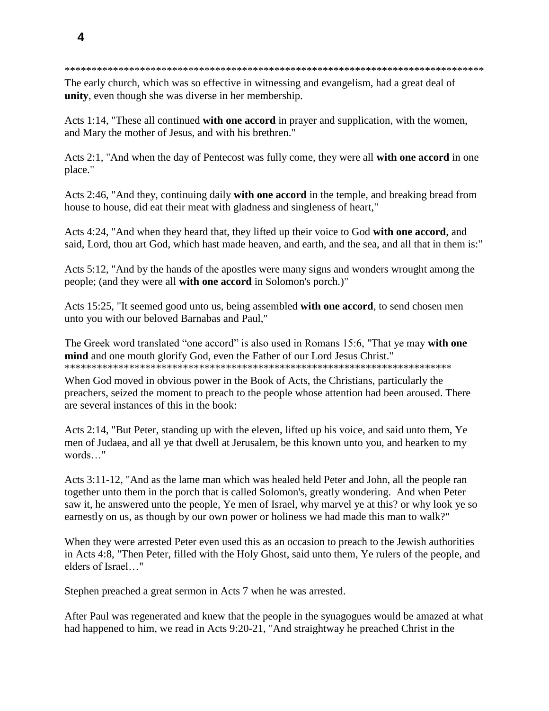#### \*\*\*\*\*\*\*\*\*\*\*\*\*\*\*\*\*\*\*\*\*\*\*\*\*\*\*\*\*\*\*\*\*\*\*\*\*\*\*\*\*\*\*\*\*\*\*\*\*\*\*\*\*\*\*\*\*\*\*\*\*\*\*\*\*\*\*\*\*\*\*\*\*\*\*\*\*\*

The early church, which was so effective in witnessing and evangelism, had a great deal of **unity**, even though she was diverse in her membership.

Acts 1:14, "These all continued **with one accord** in prayer and supplication, with the women, and Mary the mother of Jesus, and with his brethren."

Acts 2:1, "And when the day of Pentecost was fully come, they were all **with one accord** in one place."

Acts 2:46, "And they, continuing daily **with one accord** in the temple, and breaking bread from house to house, did eat their meat with gladness and singleness of heart,"

Acts 4:24, "And when they heard that, they lifted up their voice to God **with one accord**, and said, Lord, thou art God, which hast made heaven, and earth, and the sea, and all that in them is:"

Acts 5:12, "And by the hands of the apostles were many signs and wonders wrought among the people; (and they were all **with one accord** in Solomon's porch.)"

Acts 15:25, "It seemed good unto us, being assembled **with one accord**, to send chosen men unto you with our beloved Barnabas and Paul,"

The Greek word translated "one accord" is also used in Romans 15:6, "That ye may **with one mind** and one mouth glorify God, even the Father of our Lord Jesus Christ." \*\*\*\*\*\*\*\*\*\*\*\*\*\*\*\*\*\*\*\*\*\*\*\*\*\*\*\*\*\*\*\*\*\*\*\*\*\*\*\*\*\*\*\*\*\*\*\*\*\*\*\*\*\*\*\*\*\*\*\*\*\*\*\*\*\*\*\*\*\*\*\*

When God moved in obvious power in the Book of Acts, the Christians, particularly the preachers, seized the moment to preach to the people whose attention had been aroused. There are several instances of this in the book:

Acts 2:14, "But Peter, standing up with the eleven, lifted up his voice, and said unto them, Ye men of Judaea, and all ye that dwell at Jerusalem, be this known unto you, and hearken to my words…"

Acts 3:11-12, "And as the lame man which was healed held Peter and John, all the people ran together unto them in the porch that is called Solomon's, greatly wondering. And when Peter saw it, he answered unto the people, Ye men of Israel, why marvel ye at this? or why look ye so earnestly on us, as though by our own power or holiness we had made this man to walk?"

When they were arrested Peter even used this as an occasion to preach to the Jewish authorities in Acts 4:8, "Then Peter, filled with the Holy Ghost, said unto them, Ye rulers of the people, and elders of Israel…"

Stephen preached a great sermon in Acts 7 when he was arrested.

After Paul was regenerated and knew that the people in the synagogues would be amazed at what had happened to him, we read in Acts 9:20-21, "And straightway he preached Christ in the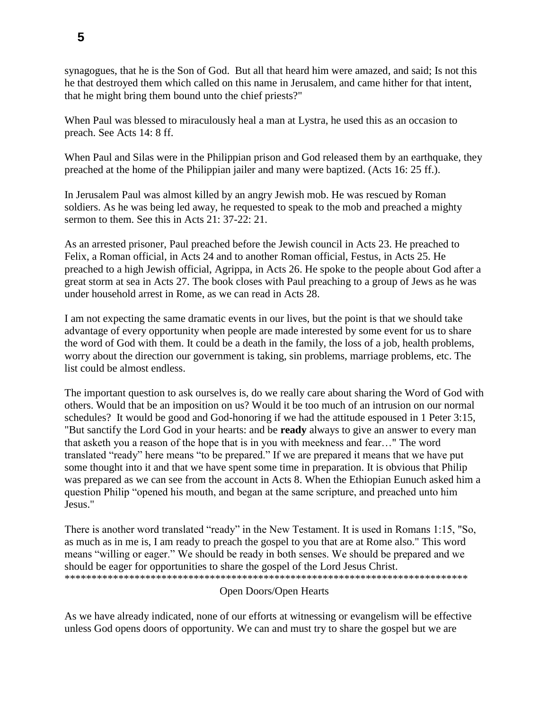synagogues, that he is the Son of God. But all that heard him were amazed, and said; Is not this he that destroyed them which called on this name in Jerusalem, and came hither for that intent, that he might bring them bound unto the chief priests?"

When Paul was blessed to miraculously heal a man at Lystra, he used this as an occasion to preach. See Acts 14: 8 ff.

When Paul and Silas were in the Philippian prison and God released them by an earthquake, they preached at the home of the Philippian jailer and many were baptized. (Acts 16: 25 ff.).

In Jerusalem Paul was almost killed by an angry Jewish mob. He was rescued by Roman soldiers. As he was being led away, he requested to speak to the mob and preached a mighty sermon to them. See this in Acts 21: 37-22: 21.

As an arrested prisoner, Paul preached before the Jewish council in Acts 23. He preached to Felix, a Roman official, in Acts 24 and to another Roman official, Festus, in Acts 25. He preached to a high Jewish official, Agrippa, in Acts 26. He spoke to the people about God after a great storm at sea in Acts 27. The book closes with Paul preaching to a group of Jews as he was under household arrest in Rome, as we can read in Acts 28.

I am not expecting the same dramatic events in our lives, but the point is that we should take advantage of every opportunity when people are made interested by some event for us to share the word of God with them. It could be a death in the family, the loss of a job, health problems, worry about the direction our government is taking, sin problems, marriage problems, etc. The list could be almost endless.

The important question to ask ourselves is, do we really care about sharing the Word of God with others. Would that be an imposition on us? Would it be too much of an intrusion on our normal schedules? It would be good and God-honoring if we had the attitude espoused in 1 Peter 3:15, "But sanctify the Lord God in your hearts: and be **ready** always to give an answer to every man that asketh you a reason of the hope that is in you with meekness and fear…" The word translated "ready" here means "to be prepared." If we are prepared it means that we have put some thought into it and that we have spent some time in preparation. It is obvious that Philip was prepared as we can see from the account in Acts 8. When the Ethiopian Eunuch asked him a question Philip "opened his mouth, and began at the same scripture, and preached unto him Jesus."

There is another word translated "ready" in the New Testament. It is used in Romans 1:15, "So, as much as in me is, I am ready to preach the gospel to you that are at Rome also." This word means "willing or eager." We should be ready in both senses. We should be prepared and we should be eager for opportunities to share the gospel of the Lord Jesus Christ. \*\*\*\*\*\*\*\*\*\*\*\*\*\*\*\*\*\*\*\*\*\*\*\*\*\*\*\*\*\*\*\*\*\*\*\*\*\*\*\*\*\*\*\*\*\*\*\*\*\*\*\*\*\*\*\*\*\*\*\*\*\*\*\*\*\*\*\*\*\*\*\*\*\*\*

## Open Doors/Open Hearts

As we have already indicated, none of our efforts at witnessing or evangelism will be effective unless God opens doors of opportunity. We can and must try to share the gospel but we are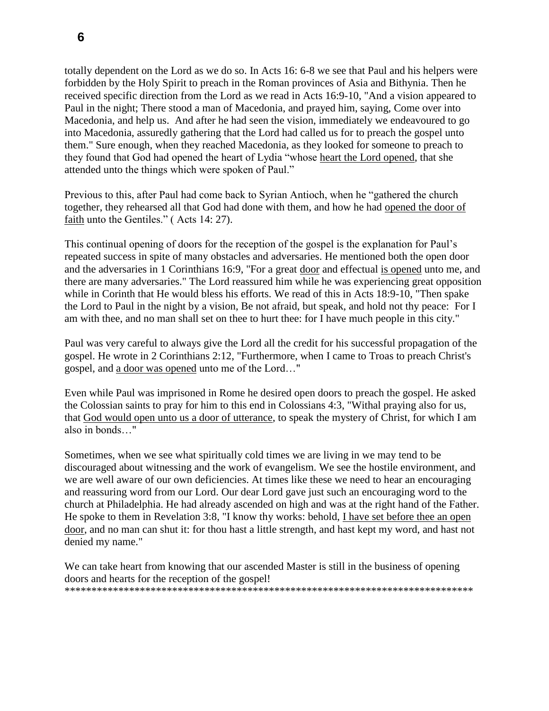totally dependent on the Lord as we do so. In Acts 16: 6-8 we see that Paul and his helpers were forbidden by the Holy Spirit to preach in the Roman provinces of Asia and Bithynia. Then he received specific direction from the Lord as we read in Acts 16:9-10, "And a vision appeared to Paul in the night; There stood a man of Macedonia, and prayed him, saying, Come over into Macedonia, and help us. And after he had seen the vision, immediately we endeavoured to go into Macedonia, assuredly gathering that the Lord had called us for to preach the gospel unto them." Sure enough, when they reached Macedonia, as they looked for someone to preach to they found that God had opened the heart of Lydia "whose heart the Lord opened, that she attended unto the things which were spoken of Paul."

Previous to this, after Paul had come back to Syrian Antioch, when he "gathered the church together, they rehearsed all that God had done with them, and how he had opened the door of faith unto the Gentiles." ( Acts 14: 27).

This continual opening of doors for the reception of the gospel is the explanation for Paul's repeated success in spite of many obstacles and adversaries. He mentioned both the open door and the adversaries in 1 Corinthians 16:9, "For a great door and effectual is opened unto me, and there are many adversaries." The Lord reassured him while he was experiencing great opposition while in Corinth that He would bless his efforts. We read of this in Acts 18:9-10, "Then spake the Lord to Paul in the night by a vision, Be not afraid, but speak, and hold not thy peace: For I am with thee, and no man shall set on thee to hurt thee: for I have much people in this city."

Paul was very careful to always give the Lord all the credit for his successful propagation of the gospel. He wrote in 2 Corinthians 2:12, "Furthermore, when I came to Troas to preach Christ's gospel, and a door was opened unto me of the Lord…"

Even while Paul was imprisoned in Rome he desired open doors to preach the gospel. He asked the Colossian saints to pray for him to this end in Colossians 4:3, "Withal praying also for us, that God would open unto us a door of utterance, to speak the mystery of Christ, for which I am also in bonds…"

Sometimes, when we see what spiritually cold times we are living in we may tend to be discouraged about witnessing and the work of evangelism. We see the hostile environment, and we are well aware of our own deficiencies. At times like these we need to hear an encouraging and reassuring word from our Lord. Our dear Lord gave just such an encouraging word to the church at Philadelphia. He had already ascended on high and was at the right hand of the Father. He spoke to them in Revelation 3:8, "I know thy works: behold, I have set before thee an open door, and no man can shut it: for thou hast a little strength, and hast kept my word, and hast not denied my name."

We can take heart from knowing that our ascended Master is still in the business of opening doors and hearts for the reception of the gospel! \*\*\*\*\*\*\*\*\*\*\*\*\*\*\*\*\*\*\*\*\*\*\*\*\*\*\*\*\*\*\*\*\*\*\*\*\*\*\*\*\*\*\*\*\*\*\*\*\*\*\*\*\*\*\*\*\*\*\*\*\*\*\*\*\*\*\*\*\*\*\*\*\*\*\*\*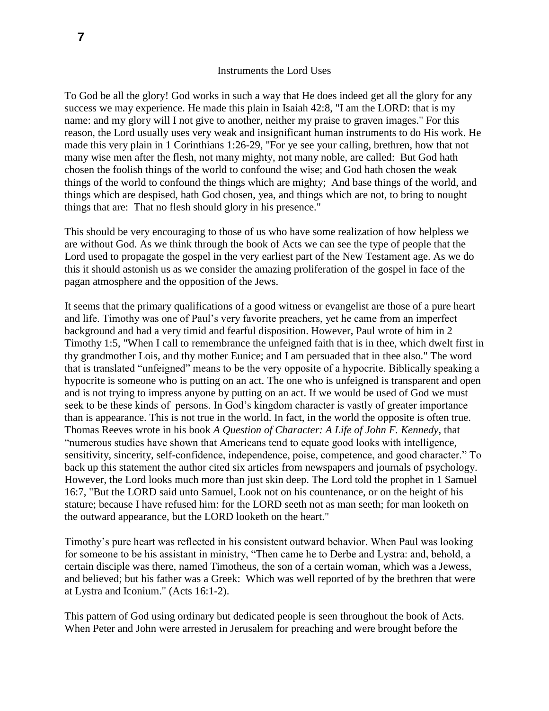#### Instruments the Lord Uses

To God be all the glory! God works in such a way that He does indeed get all the glory for any success we may experience. He made this plain in Isaiah 42:8, "I am the LORD: that is my name: and my glory will I not give to another, neither my praise to graven images." For this reason, the Lord usually uses very weak and insignificant human instruments to do His work. He made this very plain in 1 Corinthians 1:26-29, "For ye see your calling, brethren, how that not many wise men after the flesh, not many mighty, not many noble, are called: But God hath chosen the foolish things of the world to confound the wise; and God hath chosen the weak things of the world to confound the things which are mighty; And base things of the world, and things which are despised, hath God chosen, yea, and things which are not, to bring to nought things that are: That no flesh should glory in his presence."

This should be very encouraging to those of us who have some realization of how helpless we are without God. As we think through the book of Acts we can see the type of people that the Lord used to propagate the gospel in the very earliest part of the New Testament age. As we do this it should astonish us as we consider the amazing proliferation of the gospel in face of the pagan atmosphere and the opposition of the Jews.

It seems that the primary qualifications of a good witness or evangelist are those of a pure heart and life. Timothy was one of Paul's very favorite preachers, yet he came from an imperfect background and had a very timid and fearful disposition. However, Paul wrote of him in 2 Timothy 1:5, "When I call to remembrance the unfeigned faith that is in thee, which dwelt first in thy grandmother Lois, and thy mother Eunice; and I am persuaded that in thee also." The word that is translated "unfeigned" means to be the very opposite of a hypocrite. Biblically speaking a hypocrite is someone who is putting on an act. The one who is unfeigned is transparent and open and is not trying to impress anyone by putting on an act. If we would be used of God we must seek to be these kinds of persons. In God's kingdom character is vastly of greater importance than is appearance. This is not true in the world. In fact, in the world the opposite is often true. Thomas Reeves wrote in his book *A Question of Character: A Life of John F. Kennedy*, that "numerous studies have shown that Americans tend to equate good looks with intelligence, sensitivity, sincerity, self-confidence, independence, poise, competence, and good character." To back up this statement the author cited six articles from newspapers and journals of psychology. However, the Lord looks much more than just skin deep. The Lord told the prophet in 1 Samuel 16:7, "But the LORD said unto Samuel, Look not on his countenance, or on the height of his stature; because I have refused him: for the LORD seeth not as man seeth; for man looketh on the outward appearance, but the LORD looketh on the heart."

Timothy's pure heart was reflected in his consistent outward behavior. When Paul was looking for someone to be his assistant in ministry, "Then came he to Derbe and Lystra: and, behold, a certain disciple was there, named Timotheus, the son of a certain woman, which was a Jewess, and believed; but his father was a Greek: Which was well reported of by the brethren that were at Lystra and Iconium." (Acts 16:1-2).

This pattern of God using ordinary but dedicated people is seen throughout the book of Acts. When Peter and John were arrested in Jerusalem for preaching and were brought before the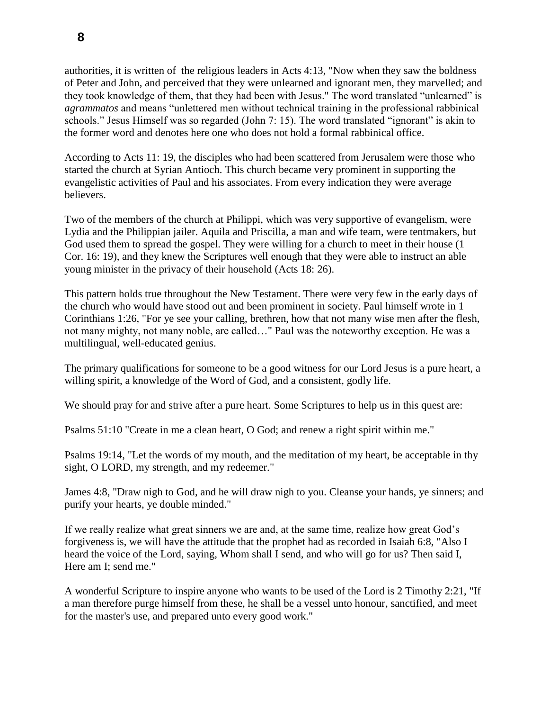authorities, it is written of the religious leaders in Acts 4:13, "Now when they saw the boldness of Peter and John, and perceived that they were unlearned and ignorant men, they marvelled; and they took knowledge of them, that they had been with Jesus." The word translated "unlearned" is *agrammatos* and means "unlettered men without technical training in the professional rabbinical schools." Jesus Himself was so regarded (John 7: 15). The word translated "ignorant" is akin to the former word and denotes here one who does not hold a formal rabbinical office.

According to Acts 11: 19, the disciples who had been scattered from Jerusalem were those who started the church at Syrian Antioch. This church became very prominent in supporting the evangelistic activities of Paul and his associates. From every indication they were average believers.

Two of the members of the church at Philippi, which was very supportive of evangelism, were Lydia and the Philippian jailer. Aquila and Priscilla, a man and wife team, were tentmakers, but God used them to spread the gospel. They were willing for a church to meet in their house  $(1)$ Cor. 16: 19), and they knew the Scriptures well enough that they were able to instruct an able young minister in the privacy of their household (Acts 18: 26).

This pattern holds true throughout the New Testament. There were very few in the early days of the church who would have stood out and been prominent in society. Paul himself wrote in 1 Corinthians 1:26, "For ye see your calling, brethren, how that not many wise men after the flesh, not many mighty, not many noble, are called…" Paul was the noteworthy exception. He was a multilingual, well-educated genius.

The primary qualifications for someone to be a good witness for our Lord Jesus is a pure heart, a willing spirit, a knowledge of the Word of God, and a consistent, godly life.

We should pray for and strive after a pure heart. Some Scriptures to help us in this quest are:

Psalms 51:10 "Create in me a clean heart, O God; and renew a right spirit within me."

Psalms 19:14, "Let the words of my mouth, and the meditation of my heart, be acceptable in thy sight, O LORD, my strength, and my redeemer."

James 4:8, "Draw nigh to God, and he will draw nigh to you. Cleanse your hands, ye sinners; and purify your hearts, ye double minded."

If we really realize what great sinners we are and, at the same time, realize how great God's forgiveness is, we will have the attitude that the prophet had as recorded in Isaiah 6:8, "Also I heard the voice of the Lord, saying, Whom shall I send, and who will go for us? Then said I, Here am I; send me."

A wonderful Scripture to inspire anyone who wants to be used of the Lord is 2 Timothy 2:21, "If a man therefore purge himself from these, he shall be a vessel unto honour, sanctified, and meet for the master's use, and prepared unto every good work."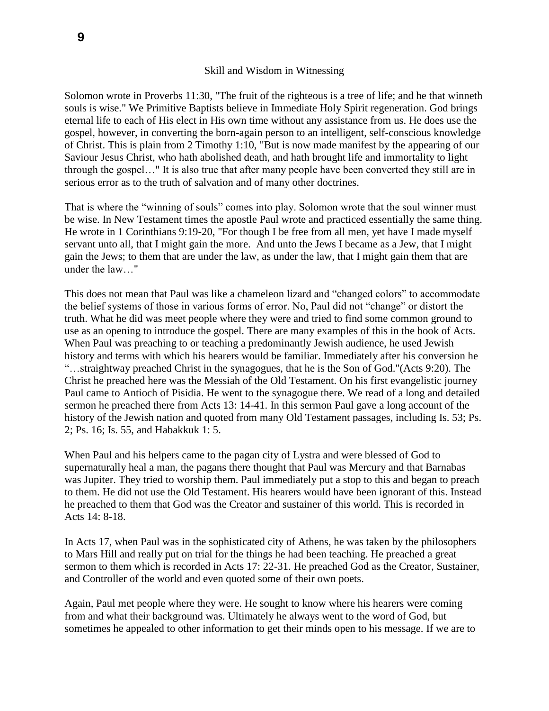Solomon wrote in Proverbs 11:30, "The fruit of the righteous is a tree of life; and he that winneth souls is wise." We Primitive Baptists believe in Immediate Holy Spirit regeneration. God brings eternal life to each of His elect in His own time without any assistance from us. He does use the gospel, however, in converting the born-again person to an intelligent, self-conscious knowledge of Christ. This is plain from 2 Timothy 1:10, "But is now made manifest by the appearing of our Saviour Jesus Christ, who hath abolished death, and hath brought life and immortality to light through the gospel…" It is also true that after many people have been converted they still are in serious error as to the truth of salvation and of many other doctrines.

That is where the "winning of souls" comes into play. Solomon wrote that the soul winner must be wise. In New Testament times the apostle Paul wrote and practiced essentially the same thing. He wrote in 1 Corinthians 9:19-20, "For though I be free from all men, yet have I made myself servant unto all, that I might gain the more. And unto the Jews I became as a Jew, that I might gain the Jews; to them that are under the law, as under the law, that I might gain them that are under the law…"

This does not mean that Paul was like a chameleon lizard and "changed colors" to accommodate the belief systems of those in various forms of error. No, Paul did not "change" or distort the truth. What he did was meet people where they were and tried to find some common ground to use as an opening to introduce the gospel. There are many examples of this in the book of Acts. When Paul was preaching to or teaching a predominantly Jewish audience, he used Jewish history and terms with which his hearers would be familiar. Immediately after his conversion he "…straightway preached Christ in the synagogues, that he is the Son of God."(Acts 9:20). The Christ he preached here was the Messiah of the Old Testament. On his first evangelistic journey Paul came to Antioch of Pisidia. He went to the synagogue there. We read of a long and detailed sermon he preached there from Acts 13: 14-41. In this sermon Paul gave a long account of the history of the Jewish nation and quoted from many Old Testament passages, including Is. 53; Ps. 2; Ps. 16; Is. 55, and Habakkuk 1: 5.

When Paul and his helpers came to the pagan city of Lystra and were blessed of God to supernaturally heal a man, the pagans there thought that Paul was Mercury and that Barnabas was Jupiter. They tried to worship them. Paul immediately put a stop to this and began to preach to them. He did not use the Old Testament. His hearers would have been ignorant of this. Instead he preached to them that God was the Creator and sustainer of this world. This is recorded in Acts 14: 8-18.

In Acts 17, when Paul was in the sophisticated city of Athens, he was taken by the philosophers to Mars Hill and really put on trial for the things he had been teaching. He preached a great sermon to them which is recorded in Acts 17: 22-31. He preached God as the Creator, Sustainer, and Controller of the world and even quoted some of their own poets.

Again, Paul met people where they were. He sought to know where his hearers were coming from and what their background was. Ultimately he always went to the word of God, but sometimes he appealed to other information to get their minds open to his message. If we are to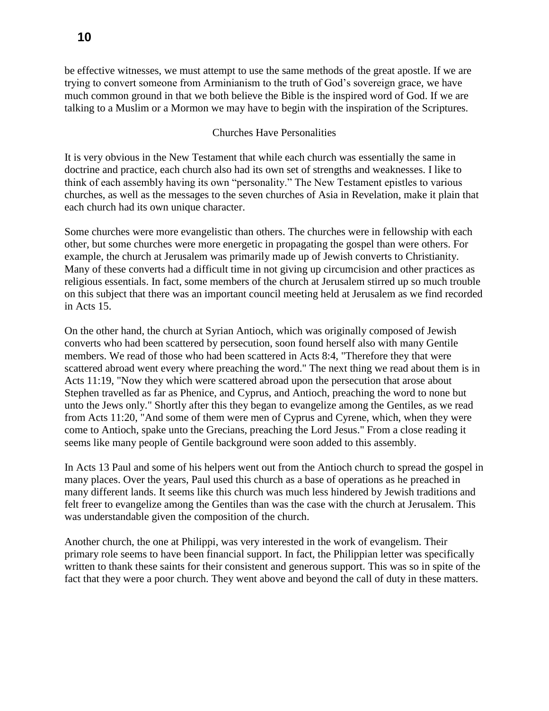be effective witnesses, we must attempt to use the same methods of the great apostle. If we are trying to convert someone from Arminianism to the truth of God's sovereign grace, we have much common ground in that we both believe the Bible is the inspired word of God. If we are talking to a Muslim or a Mormon we may have to begin with the inspiration of the Scriptures.

### Churches Have Personalities

It is very obvious in the New Testament that while each church was essentially the same in doctrine and practice, each church also had its own set of strengths and weaknesses. I like to think of each assembly having its own "personality." The New Testament epistles to various churches, as well as the messages to the seven churches of Asia in Revelation, make it plain that each church had its own unique character.

Some churches were more evangelistic than others. The churches were in fellowship with each other, but some churches were more energetic in propagating the gospel than were others. For example, the church at Jerusalem was primarily made up of Jewish converts to Christianity. Many of these converts had a difficult time in not giving up circumcision and other practices as religious essentials. In fact, some members of the church at Jerusalem stirred up so much trouble on this subject that there was an important council meeting held at Jerusalem as we find recorded in Acts 15.

On the other hand, the church at Syrian Antioch, which was originally composed of Jewish converts who had been scattered by persecution, soon found herself also with many Gentile members. We read of those who had been scattered in Acts 8:4, "Therefore they that were scattered abroad went every where preaching the word." The next thing we read about them is in Acts 11:19, "Now they which were scattered abroad upon the persecution that arose about Stephen travelled as far as Phenice, and Cyprus, and Antioch, preaching the word to none but unto the Jews only." Shortly after this they began to evangelize among the Gentiles, as we read from Acts 11:20, "And some of them were men of Cyprus and Cyrene, which, when they were come to Antioch, spake unto the Grecians, preaching the Lord Jesus." From a close reading it seems like many people of Gentile background were soon added to this assembly.

In Acts 13 Paul and some of his helpers went out from the Antioch church to spread the gospel in many places. Over the years, Paul used this church as a base of operations as he preached in many different lands. It seems like this church was much less hindered by Jewish traditions and felt freer to evangelize among the Gentiles than was the case with the church at Jerusalem. This was understandable given the composition of the church.

Another church, the one at Philippi, was very interested in the work of evangelism. Their primary role seems to have been financial support. In fact, the Philippian letter was specifically written to thank these saints for their consistent and generous support. This was so in spite of the fact that they were a poor church. They went above and beyond the call of duty in these matters.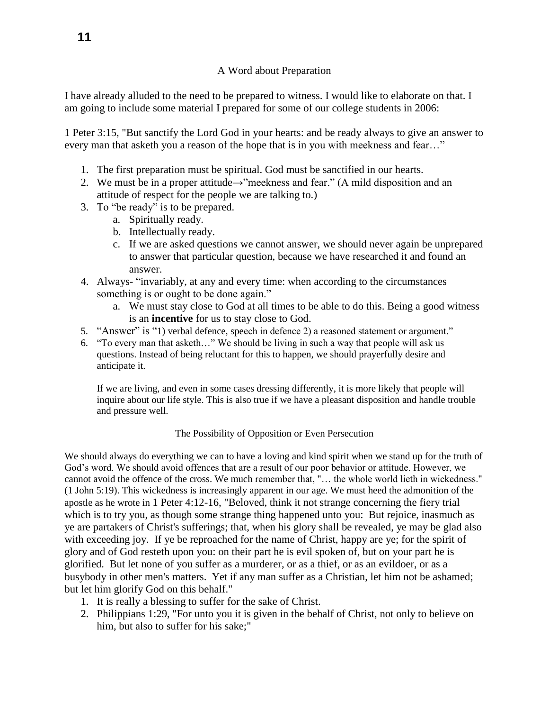# A Word about Preparation

I have already alluded to the need to be prepared to witness. I would like to elaborate on that. I am going to include some material I prepared for some of our college students in 2006:

1 Peter 3:15, "But sanctify the Lord God in your hearts: and be ready always to give an answer to every man that asketh you a reason of the hope that is in you with meekness and fear…"

- 1. The first preparation must be spiritual. God must be sanctified in our hearts.
- 2. We must be in a proper attitude $\rightarrow$ "meekness and fear." (A mild disposition and an attitude of respect for the people we are talking to.)
- 3. To "be ready" is to be prepared.
	- a. Spiritually ready.
	- b. Intellectually ready.
	- c. If we are asked questions we cannot answer, we should never again be unprepared to answer that particular question, because we have researched it and found an answer.
- 4. Always- "invariably, at any and every time: when according to the circumstances something is or ought to be done again."
	- a. We must stay close to God at all times to be able to do this. Being a good witness is an **incentive** for us to stay close to God.
- 5. "Answer" is "1) verbal defence, speech in defence 2) a reasoned statement or argument."
- 6. "To every man that asketh…" We should be living in such a way that people will ask us questions. Instead of being reluctant for this to happen, we should prayerfully desire and anticipate it.

If we are living, and even in some cases dressing differently, it is more likely that people will inquire about our life style. This is also true if we have a pleasant disposition and handle trouble and pressure well.

## The Possibility of Opposition or Even Persecution

We should always do everything we can to have a loving and kind spirit when we stand up for the truth of God's word. We should avoid offences that are a result of our poor behavior or attitude. However, we cannot avoid the offence of the cross. We much remember that, "… the whole world lieth in wickedness." (1 John 5:19). This wickedness is increasingly apparent in our age. We must heed the admonition of the apostle as he wrote in 1 Peter 4:12-16, "Beloved, think it not strange concerning the fiery trial which is to try you, as though some strange thing happened unto you: But rejoice, inasmuch as ye are partakers of Christ's sufferings; that, when his glory shall be revealed, ye may be glad also with exceeding joy. If ye be reproached for the name of Christ, happy are ye; for the spirit of glory and of God resteth upon you: on their part he is evil spoken of, but on your part he is glorified. But let none of you suffer as a murderer, or as a thief, or as an evildoer, or as a busybody in other men's matters. Yet if any man suffer as a Christian, let him not be ashamed; but let him glorify God on this behalf."

- 1. It is really a blessing to suffer for the sake of Christ.
- 2. Philippians 1:29, "For unto you it is given in the behalf of Christ, not only to believe on him, but also to suffer for his sake;"